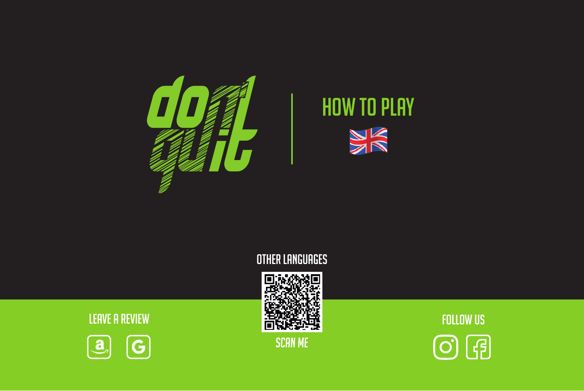

# HOW TO PLAY **VK**

Other Languages



 $\overline{\mathbb{O}}$  (a)



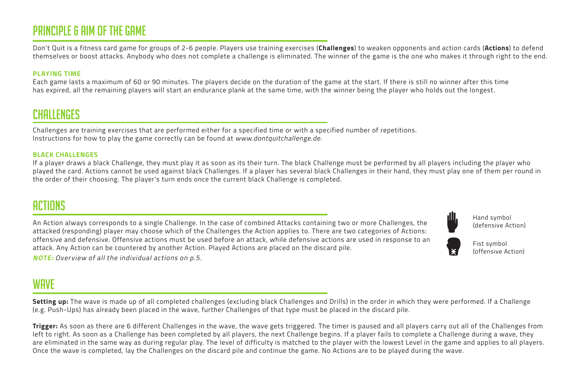## PRINCIPLE & Aim of the Game

Don't Quit is a fitness card game for groups of 2-6 people. Players use training exercises (**Challenges**) to weaken opponents and action cards (**Actions**) to defend themselves or boost attacks. Anybody who does not complete a challenge is eliminated. The winner of the game is the one who makes it through right to the end.

#### **PLAYING TIME**

Each game lasts a maximum of 60 or 90 minutes. The players decide on the duration of the game at the start. If there is still no winner after this time has expired, all the remaining players will start an endurance plank at the same time, with the winner being the player who holds out the longest.

## CHALLENGES

Challenges are training exercises that are performed either for a specified time or with a specified number of repetitions. Instructions for how to play the game correctly can be found at www.dontquitchallenge.de.

#### **BLACK CHALLENGES**

If a player draws a black Challenge, they must play it as soon as its their turn. The black Challenge must be performed by all players including the player who played the card. Actions cannot be used against black Challenges. If a player has several black Challenges in their hand, they must play one of them per round in the order of their choosing. The player's turn ends once the current black Challenge is completed.

## ACTIONS

An Action always corresponds to a single Challenge. In the case of combined Attacks containing two or more Challenges, the attacked (responding) player may choose which of the Challenges the Action applies to. There are two categories of Actions: offensive and defensive. Offensive actions must be used before an attack, while defensive actions are used in response to an attack. Any Action can be countered by another Action. Played Actions are placed on the discard pile.



Hand symbol (defensive Action)



Fist symbol (offensive Action)

**NOTE:** Overview of all the individual actions on p.5.

## **WAVE**

**Setting up:** The wave is made up of all completed challenges (excluding black Challenges and Drills) in the order in which they were performed. If a Challenge (e.g. Push-Ups) has already been placed in the wave, further Challenges of that type must be placed in the discard pile.

**Trigger:** As soon as there are 6 different Challenges in the wave, the wave gets triggered. The timer is paused and all players carry out all of the Challenges from left to right. As soon as a Challenge has been completed by all players, the next Challenge begins. If a player fails to complete a Challenge during a wave, they are eliminated in the same way as during regular play. The level of difficulty is matched to the player with the lowest Level in the game and applies to all players. Once the wave is completed, lay the Challenges on the discard pile and continue the game. No Actions are to be played during the wave.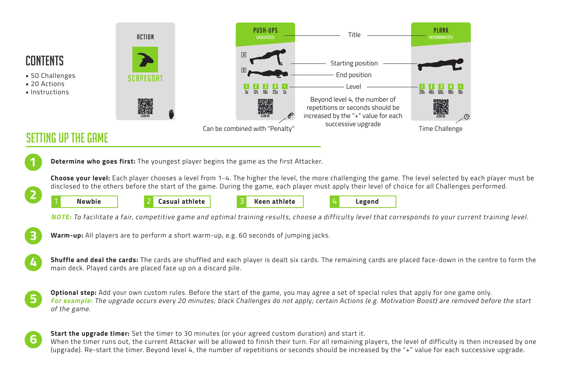

- 50 Challenges
- 20 Actions
- Instructions



## Setting Up the Game



**Choose your level:** Each player chooses a level from 1-4. The higher the level, the more challenging the game. The level selected by each player must be disclosed to the others before the start of the game. During the game, each player must apply their level of choice for all Challenges performed.



**NOTE:** To facilitate a fair, competitive game and optimal training results, choose a difficulty level that corresponds to your current training level.



**4**

**Warm-up:** All players are to perform a short warm-up, e.g. 60 seconds of jumping jacks.

**Shuffle and deal the cards:** The cards are shuffled and each player is dealt six cards. The remaining cards are placed face-down in the centre to form the main deck. Played cards are placed face up on a discard pile.

**Optional step:** Add your own custom rules. Before the start of the game, you may agree a set of special rules that apply for one game only. **For example:** The upgrade occurs every 20 minutes; black Challenges do not apply; certain Actions (e.g. Motivation Boost) are removed before the start of the game. **5**

**Start the upgrade timer:** Set the timer to 30 minutes (or your agreed custom duration) and start it. When the timer runs out, the current Attacker will be allowed to finish their turn. For all remaining players, the level of difficulty is then increased by one (upgrade). Re-start the timer. Beyond level 4, the number of repetitions or seconds should be increased by the "+" value for each successive upgrade. **6**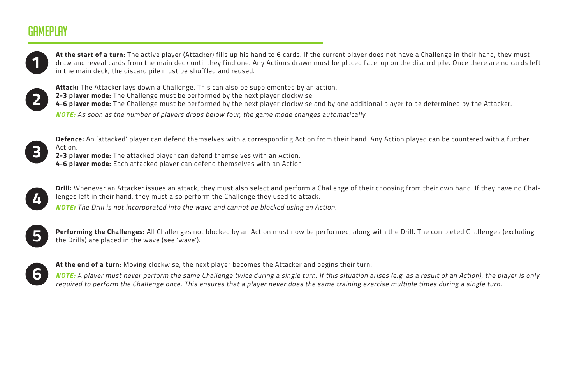## Gameplay



**At the start of a turn:** The active player (Attacker) fills up his hand to 6 cards. If the current player does not have a Challenge in their hand, they must draw and reveal cards from the main deck until they find one. Any Actions drawn must be placed face-up on the discard pile. Once there are no cards left in the main deck, the discard pile must be shuffled and reused.



**Attack:** The Attacker lays down a Challenge. This can also be supplemented by an action. **2-3 player mode:** The Challenge must be performed by the next player clockwise. **4-6 player mode:** The Challenge must be performed by the next player clockwise and by one additional player to be determined by the Attacker. **NOTE:** As soon as the number of players drops below four, the game mode changes automatically.



**Defence:** An 'attacked' player can defend themselves with a corresponding Action from their hand. Any Action played can be countered with a further Action.

**2-3 player mode:** The attacked player can defend themselves with an Action. **4-6 player mode:** Each attacked player can defend themselves with an Action.



**Drill:** Whenever an Attacker issues an attack, they must also select and perform a Challenge of their choosing from their own hand. If they have no Challenges left in their hand, they must also perform the Challenge they used to attack.

**NOTE:** The Drill is not incorporated into the wave and cannot be blocked using an Action.



**Performing the Challenges:** All Challenges not blocked by an Action must now be performed, along with the Drill. The completed Challenges (excluding the Drills) are placed in the wave (see 'wave').



**At the end of a turn:** Moving clockwise, the next player becomes the Attacker and begins their turn.

**NOTE:** A player must never perform the same Challenge twice during a single turn. If this situation arises (e.g. as a result of an Action), the player is only required to perform the Challenge once. This ensures that a player never does the same training exercise multiple times during a single turn.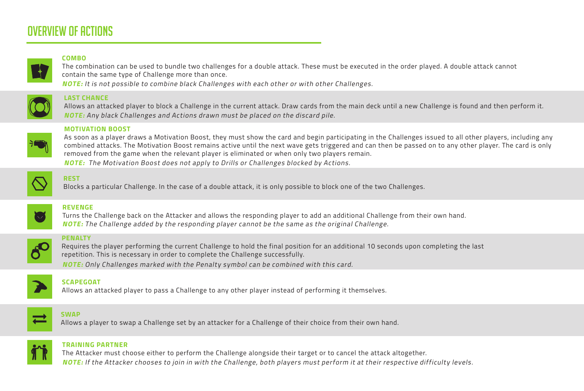## Overview of ACTIONS

#### **COMBO**

The combination can be used to bundle two challenges for a double attack. These must be executed in the order played. A double attack cannot contain the same type of Challenge more than once. **NOTE:** It is not possible to combine black Challenges with each other or with other Challenges.

**LAST CHANCE**

Allows an attacked player to block a Challenge in the current attack. Draw cards from the main deck until a new Challenge is found and then perform it. **NOTE:** Any black Challenges and Actions drawn must be placed on the discard pile.



#### **MOTIVATION BOOST**

As soon as a player draws a Motivation Boost, they must show the card and begin participating in the Challenges issued to all other players, including any combined attacks. The Motivation Boost remains active until the next wave gets triggered and can then be passed on to any other player. The card is only removed from the game when the relevant player is eliminated or when only two players remain. **NOTE:** The Motivation Boost does not apply to Drills or Challenges blocked by Actions.



#### **REST**

Blocks a particular Challenge. In the case of a double attack, it is only possible to block one of the two Challenges.



#### **REVENGE**

Turns the Challenge back on the Attacker and allows the responding player to add an additional Challenge from their own hand. **NOTE:** The Challenge added by the responding player cannot be the same as the original Challenge.



#### **PENALTY**

Requires the player performing the current Challenge to hold the final position for an additional 10 seconds upon completing the last repetition. This is necessary in order to complete the Challenge successfully.

**NOTE:** Only Challenges marked with the Penalty symbol can be combined with this card.



### **SCAPEGOAT**

Allows an attacked player to pass a Challenge to any other player instead of performing it themselves.



#### **SWAP**

Allows a player to swap a Challenge set by an attacker for a Challenge of their choice from their own hand.



#### **TRAINING PARTNER**

The Attacker must choose either to perform the Challenge alongside their target or to cancel the attack altogether.

**NOTE:** If the Attacker chooses to join in with the Challenge, both players must perform it at their respective difficulty levels.